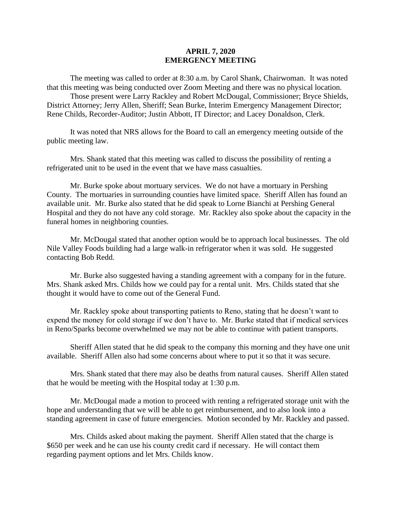## **APRIL 7, 2020 EMERGENCY MEETING**

The meeting was called to order at 8:30 a.m. by Carol Shank, Chairwoman. It was noted that this meeting was being conducted over Zoom Meeting and there was no physical location.

Those present were Larry Rackley and Robert McDougal, Commissioner; Bryce Shields, District Attorney; Jerry Allen, Sheriff; Sean Burke, Interim Emergency Management Director; Rene Childs, Recorder-Auditor; Justin Abbott, IT Director; and Lacey Donaldson, Clerk.

It was noted that NRS allows for the Board to call an emergency meeting outside of the public meeting law.

Mrs. Shank stated that this meeting was called to discuss the possibility of renting a refrigerated unit to be used in the event that we have mass casualties.

Mr. Burke spoke about mortuary services. We do not have a mortuary in Pershing County. The mortuaries in surrounding counties have limited space. Sheriff Allen has found an available unit. Mr. Burke also stated that he did speak to Lorne Bianchi at Pershing General Hospital and they do not have any cold storage. Mr. Rackley also spoke about the capacity in the funeral homes in neighboring counties.

Mr. McDougal stated that another option would be to approach local businesses. The old Nile Valley Foods building had a large walk-in refrigerator when it was sold. He suggested contacting Bob Redd.

Mr. Burke also suggested having a standing agreement with a company for in the future. Mrs. Shank asked Mrs. Childs how we could pay for a rental unit. Mrs. Childs stated that she thought it would have to come out of the General Fund.

Mr. Rackley spoke about transporting patients to Reno, stating that he doesn't want to expend the money for cold storage if we don't have to. Mr. Burke stated that if medical services in Reno/Sparks become overwhelmed we may not be able to continue with patient transports.

Sheriff Allen stated that he did speak to the company this morning and they have one unit available. Sheriff Allen also had some concerns about where to put it so that it was secure.

Mrs. Shank stated that there may also be deaths from natural causes. Sheriff Allen stated that he would be meeting with the Hospital today at 1:30 p.m.

Mr. McDougal made a motion to proceed with renting a refrigerated storage unit with the hope and understanding that we will be able to get reimbursement, and to also look into a standing agreement in case of future emergencies. Motion seconded by Mr. Rackley and passed.

Mrs. Childs asked about making the payment. Sheriff Allen stated that the charge is \$650 per week and he can use his county credit card if necessary. He will contact them regarding payment options and let Mrs. Childs know.